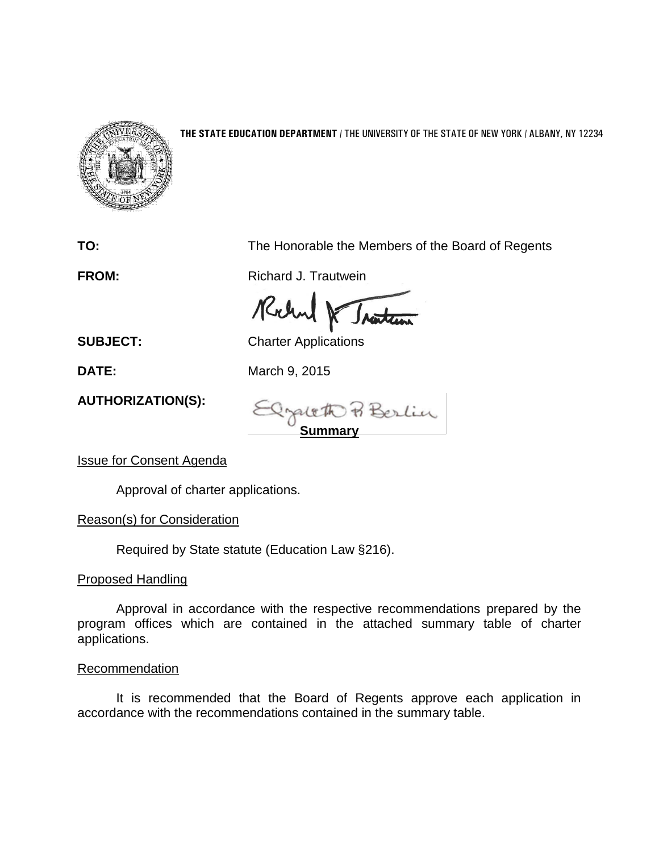

## **THE STATE EDUCATION DEPARTMENT** / THE UNIVERSITY OF THE STATE OF NEW YORK / ALBANY, NY 12234

**TO:** The Honorable the Members of the Board of Regents

**FROM:** Richard J. Trautwein

Rohn Iratur

**SUBJECT:** Charter Applications

**DATE:** March 9, 2015

**AUTHORIZATION(S):**

**Summary**

Issue for Consent Agenda

Approval of charter applications.

Reason(s) for Consideration

Required by State statute (Education Law §216).

## Proposed Handling

Approval in accordance with the respective recommendations prepared by the program offices which are contained in the attached summary table of charter applications.

## **Recommendation**

It is recommended that the Board of Regents approve each application in accordance with the recommendations contained in the summary table.